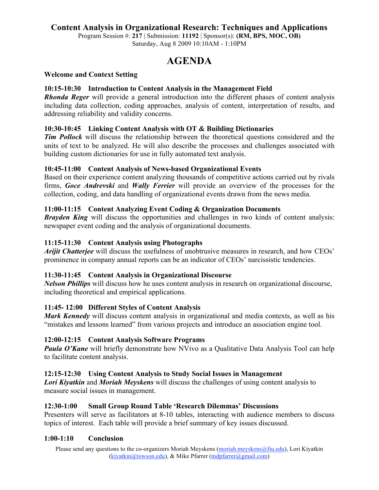## **Content Analysis in Organizational Research: Techniques and Applications**

Program Session #: **217** | Submission: **11192** | Sponsor(s): **(RM, BPS, MOC, OB)** Saturday, Aug 8 2009 10:10AM - 1:10PM

# **AGENDA**

#### **Welcome and Context Setting**

#### **10:15-10:30 Introduction to Content Analysis in the Management Field**

*Rhonda Reger* will provide a general introduction into the different phases of content analysis including data collection, coding approaches, analysis of content, interpretation of results, and addressing reliability and validity concerns.

#### **10:30-10:45 Linking Content Analysis with OT & Building Dictionaries**

*Tim Pollock* will discuss the relationship between the theoretical questions considered and the units of text to be analyzed. He will also describe the processes and challenges associated with building custom dictionaries for use in fully automated text analysis.

#### **10:45-11:00 Content Analysis of News-based Organizational Events**

Based on their experience content analyzing thousands of competitive actions carried out by rivals firms, *Goce Andrevski* and *Wally Ferrier* will provide an overview of the processes for the collection, coding, and data handling of organizational events drawn from the news media.

#### **11:00-11:15 Content Analyzing Event Coding & Organization Documents**

**Brayden King** will discuss the opportunities and challenges in two kinds of content analysis: newspaper event coding and the analysis of organizational documents.

#### **11:15-11:30 Content Analysis using Photographs**

*Arijit Chatterjee* will discuss the usefulness of unobtrusive measures in research, and how CEOs' prominence in company annual reports can be an indicator of CEOs' narcissistic tendencies.

#### **11:30-11:45 Content Analysis in Organizational Discourse**

*Nelson Phillips* will discuss how he uses content analysis in research on organizational discourse, including theoretical and empirical applications.

#### **11:45- 12:00 Different Styles of Content Analysis**

*Mark Kennedy* will discuss content analysis in organizational and media contexts, as well as his "mistakes and lessons learned" from various projects and introduce an association engine tool.

#### **12:00-12:15 Content Analysis Software Programs**

**Paula O'Kane** will briefly demonstrate how NVivo as a Qualitative Data Analysis Tool can help to facilitate content analysis.

#### **12:15-12:30 Using Content Analysis to Study Social Issues in Management**

*Lori Kiyatkin* and *Moriah Meyskens* will discuss the challenges of using content analysis to measure social issues in management.

#### **12:30-1:00 Small Group Round Table 'Research Dilemmas' Discussions**

Presenters will serve as facilitators at 8-10 tables, interacting with audience members to discuss topics of interest. Each table will provide a brief summary of key issues discussed.

#### **1:00-1:10 Conclusion**

Please send any questions to the co-organizers Moriah Meyskens (moriah.meyskens@fiu.edu), Lori Kiyatkin  $(kiyatkin@towson.edu)$ , & Mike Pfarrer  $(mdpfarrer@gmail.com)$